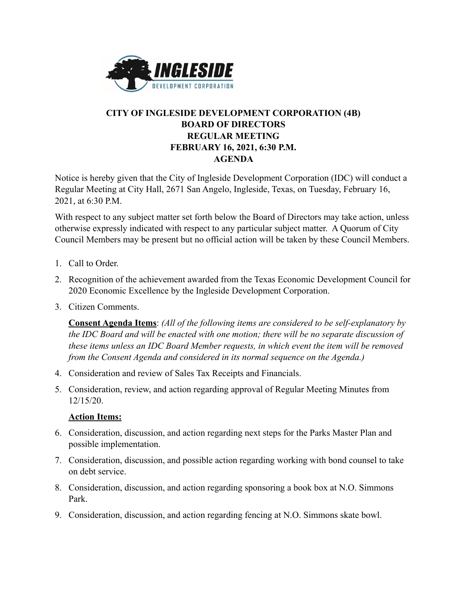

## **CITY OF INGLESIDE DEVELOPMENT CORPORATION (4B) BOARD OF DIRECTORS REGULAR MEETING FEBRUARY 16, 2021, 6:30 P.M. AGENDA**

Notice is hereby given that the City of Ingleside Development Corporation (IDC) will conduct a Regular Meeting at City Hall, 2671 San Angelo, Ingleside, Texas, on Tuesday, February 16, 2021, at 6:30 P.M.

With respect to any subject matter set forth below the Board of Directors may take action, unless otherwise expressly indicated with respect to any particular subject matter. A Quorum of City Council Members may be present but no official action will be taken by these Council Members.

- 1. Call to Order.
- 2. Recognition of the achievement awarded from the Texas Economic Development Council for 2020 Economic Excellence by the Ingleside Development Corporation.
- 3. Citizen Comments.

**Consent Agenda Items**: *(All of the following items are considered to be self-explanatory by the IDC Board and will be enacted with one motion; there will be no separate discussion of these items unless an IDC Board Member requests, in which event the item will be removed from the Consent Agenda and considered in its normal sequence on the Agenda.)*

- 4. Consideration and review of Sales Tax Receipts and Financials.
- 5. Consideration, review, and action regarding approval of Regular Meeting Minutes from 12/15/20.

## **Action Items:**

- 6. Consideration, discussion, and action regarding next steps for the Parks Master Plan and possible implementation.
- 7. Consideration, discussion, and possible action regarding working with bond counsel to take on debt service.
- 8. Consideration, discussion, and action regarding sponsoring a book box at N.O. Simmons Park.
- 9. Consideration, discussion, and action regarding fencing at N.O. Simmons skate bowl.